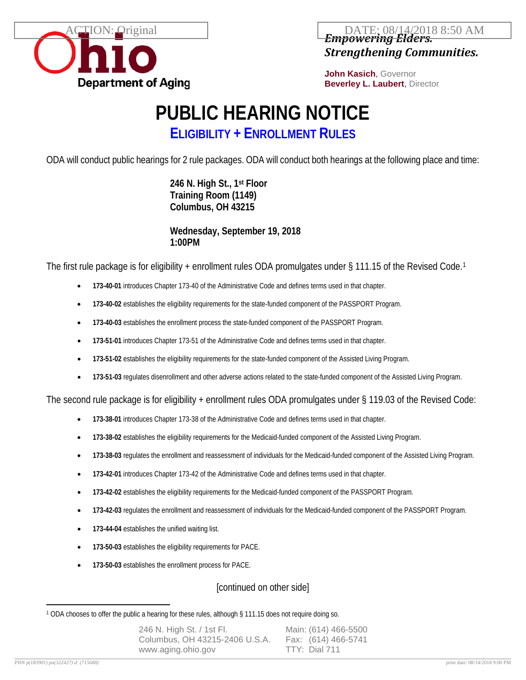

*Empowering Elders. Strengthening Communities.* **TION:** Original  $\Box$  DATE: 08/14/2018 8:50 AM

> **John Kasich**, Governor **Beverley L. Laubert**, Director

## **PUBLIC HEARING NOTICE**

**ELIGIBILITY + ENROLLMENT RULES**

ODA will conduct public hearings for 2 rule packages. ODA will conduct both hearings at the following place and time:

**246 N. High St., 1st Floor Training Room (1149) Columbus, OH 43215**

**Wednesday, September 19, 2018 1:00PM**

The first rule package is for eligibility + enrollment rules ODA promulgates under § [1](#page-0-0)11.15 of the Revised Code.<sup>1</sup>

- **173-40-01** introduces Chapter 173-40 of the Administrative Code and defines terms used in that chapter.
- **173-40-02** establishes the eligibility requirements for the state-funded component of the PASSPORT Program.
- **173-40-03** establishes the enrollment process the state-funded component of the PASSPORT Program.
- **173-51-01** introduces Chapter 173-51 of the Administrative Code and defines terms used in that chapter.
- **173-51-02** establishes the eligibility requirements for the state-funded component of the Assisted Living Program.
- **173-51-03** regulates disenrollment and other adverse actions related to the state-funded component of the Assisted Living Program.

The second rule package is for eligibility + enrollment rules ODA promulgates under § 119.03 of the Revised Code:

- **173-38-01** introduces Chapter 173-38 of the Administrative Code and defines terms used in that chapter.
- **173-38-02** establishes the eligibility requirements for the Medicaid-funded component of the Assisted Living Program.
- **173-38-03** regulates the enrollment and reassessment of individuals for the Medicaid-funded component of the Assisted Living Program.
- **173-42-01** introduces Chapter 173-42 of the Administrative Code and defines terms used in that chapter.
- **173-42-02** establishes the eligibility requirements for the Medicaid-funded component of the PASSPORT Program.
- **173-42-03** regulates the enrollment and reassessment of individuals for the Medicaid-funded component of the PASSPORT Program.
- **173-44-04** establishes the unified waiting list.
- **173-50-03** establishes the eligibility requirements for PACE.
- **173-50-03** establishes the enrollment process for PACE.

## [continued on other side]

<span id="page-0-0"></span> $\overline{a}$ <sup>1</sup> ODA chooses to offer the public a hearing for these rules, although § 111.15 does not require doing so.

| 246 N. High St. / 1st Fl.      | Main: (614) 466-5500 |
|--------------------------------|----------------------|
| Columbus, OH 43215-2406 U.S.A. | Fax: (614) 466-5741  |
| www.aging.ohio.gov             | TTY: Dial 711        |